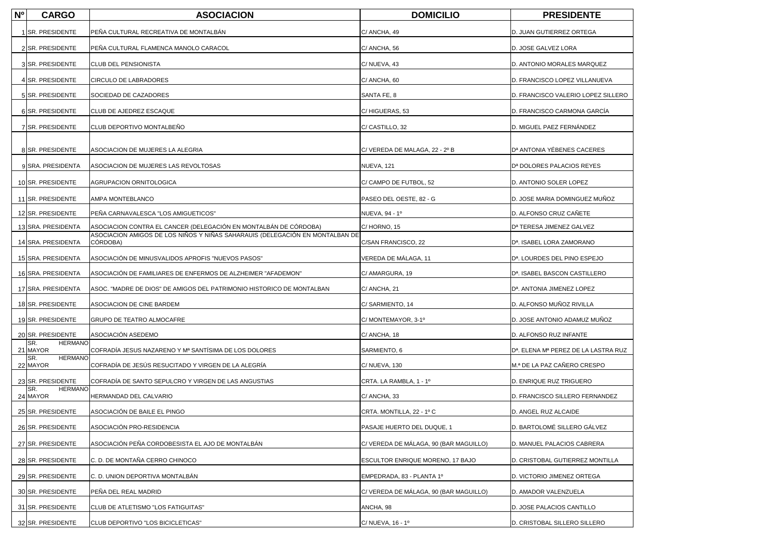| <b>N°</b> | <b>CARGO</b>                           | <b>ASOCIACION</b>                                                                        | <b>DOMICILIO</b>                          | <b>PRESIDENTE</b>                                            |
|-----------|----------------------------------------|------------------------------------------------------------------------------------------|-------------------------------------------|--------------------------------------------------------------|
|           | <b>SR. PRESIDENTE</b>                  | PEÑA CULTURAL RECREATIVA DE MONTALBÁN                                                    | C/ ANCHA, 49                              | D. JUAN GUTIERREZ ORTEGA                                     |
|           | 2 SR. PRESIDENTE                       | PEÑA CULTURAL FLAMENCA MANOLO CARACOL                                                    | C/ ANCHA, 56                              | D. JOSE GALVEZ LORA                                          |
|           | 3 SR. PRESIDENTE                       | <b>CLUB DEL PENSIONISTA</b>                                                              | C/NUEVA, 43                               | D. ANTONIO MORALES MARQUEZ                                   |
|           | 4 SR. PRESIDENTE                       | <b>CIRCULO DE LABRADORES</b>                                                             | C/ ANCHA, 60                              | D. FRANCISCO LOPEZ VILLANUEVA                                |
|           | 5 SR. PRESIDENTE                       | SOCIEDAD DE CAZADORES                                                                    | SANTA FE, 8                               | D. FRANCISCO VALERIO LOPEZ SILLERO                           |
|           | 6 SR. PRESIDENTE                       | <b>CLUB DE AJEDREZ ESCAQUE</b>                                                           | C/HIGUERAS, 53                            | D. FRANCISCO CARMONA GARCÍA                                  |
|           | 7 SR. PRESIDENTE                       | CLUB DEPORTIVO MONTALBEÑO                                                                | C/CASTILLO, 32                            | D. MIGUEL PAEZ FERNÁNDEZ                                     |
|           | 8 SR. PRESIDENTE                       | ASOCIACION DE MUJERES LA ALEGRIA                                                         | C/ VEREDA DE MALAGA, 22 - 2º B            | D <sup>a</sup> ANTONIA YÉBENES CACERES                       |
|           | 9 SRA. PRESIDENTA                      | ASOCIACION DE MUJERES LAS REVOLTOSAS                                                     | NUEVA, 121                                | D <sup>a</sup> DOLORES PALACIOS REYES                        |
|           | 10 SR. PRESIDENTE                      | <b>AGRUPACION ORNITOLOGICA</b>                                                           | C/ CAMPO DE FUTBOL, 52                    | D. ANTONIO SOLER LOPEZ                                       |
|           |                                        |                                                                                          |                                           |                                                              |
|           | 11 SR. PRESIDENTE<br>12 SR. PRESIDENTE | <b>AMPA MONTEBLANCO</b><br>PEÑA CARNAVALESCA "LOS AMIGUETICOS"                           | PASEO DEL OESTE, 82 - G<br>NUEVA, 94 - 1º | D. JOSE MARIA DOMINGUEZ MUÑOZ<br>D. ALFONSO CRUZ CAÑETE      |
|           | 13 SRA. PRESIDENTA                     | ASOCIACION CONTRA EL CANCER (DELEGACIÓN EN MONTALBÁN DE CÓRDOBA)                         | C/HORNO, 15                               | D <sup>a</sup> TERESA JIMENEZ GALVEZ                         |
|           | 14 SRA. PRESIDENTA                     | ASOCIACION AMIGOS DE LOS NIÑOS Y NIÑAS SAHARAUIS (DELEGACIÓN EN MONTALBAN DE<br>CÓRDOBA) | C/SAN FRANCISCO, 22                       | D <sup>a</sup> . ISABEL LORA ZAMORANO                        |
|           | 15 SRA. PRESIDENTA                     | ASOCIACIÓN DE MINUSVALIDOS APROFIS "NUEVOS PASOS"                                        | VEREDA DE MÁLAGA, 11                      | D <sup>a</sup> . LOURDES DEL PINO ESPEJO                     |
|           | 16 SRA. PRESIDENTA                     | ASOCIACIÓN DE FAMILIARES DE ENFERMOS DE ALZHEIMER "AFADEMON"                             | C/ AMARGURA, 19                           | D <sup>a</sup> . ISABEL BASCON CASTILLERO                    |
|           | 17 SRA. PRESIDENTA                     | ASOC. "MADRE DE DIOS" DE AMIGOS DEL PATRIMONIO HISTORICO DE MONTALBAN                    | C/ ANCHA, 21                              | ID <sup>a</sup> , ANTONIA JIMENEZ LOPEZ                      |
|           | 18SR. PRESIDENTE                       | ASOCIACION DE CINE BARDEM                                                                | C/SARMIENTO, 14                           | D. ALFONSO MUÑOZ RIVILLA                                     |
|           | 19 SR. PRESIDENTE                      | <b>GRUPO DE TEATRO ALMOCAFRE</b>                                                         | C/MONTEMAYOR, 3-1°                        | D. JOSE ANTONIO ADAMUZ MUÑOZ                                 |
|           | 20 SR. PRESIDENTE                      | ASOCIACIÓN ASEDEMO                                                                       | C/ANCHA, 18                               | D. ALFONSO RUZ INFANTE                                       |
|           | <b>HERMANO</b><br>SR.<br>21 MAYOR      | COFRADÍA JESUS NAZARENO Y Mª SANTÍSIMA DE LOS DOLORES                                    | SARMIENTO, 6                              | D <sup>a</sup> . ELENA M <sup>a</sup> PEREZ DE LA LASTRA RUZ |
|           | SR.<br><b>HERMANO</b><br>22 MAYOR      | COFRADÍA DE JESÚS RESUCITADO Y VIRGEN DE LA ALEGRÍA                                      | C/NUEVA, 130                              | M. <sup>a</sup> DE LA PAZ CAÑERO CRESPO                      |
|           | 23 SR. PRESIDENTE                      | COFRADÍA DE SANTO SEPULCRO Y VIRGEN DE LAS ANGUSTIAS                                     | CRTA. LA RAMBLA, 1 - 1º                   | D. ENRIQUE RUZ TRIGUERO                                      |
|           | <b>HERMANO</b><br>SR.<br>24 MAYOR      | HERMANDAD DEL CALVARIO                                                                   | C/ANCHA, 33                               | D. FRANCISCO SILLERO FERNANDEZ                               |
|           | 25 SR. PRESIDENTE                      | ASOCIACIÓN DE BAILE EL PINGO                                                             | CRTA. MONTILLA, 22 - 1º C                 | D. ANGEL RUZ ALCAIDE                                         |
|           | 26 SR. PRESIDENTE                      | ASOCIACIÓN PRO-RESIDENCIA                                                                | PASAJE HUERTO DEL DUQUE, 1                | D. BARTOLOMÉ SILLERO GÁLVEZ                                  |
|           | 27 SR. PRESIDENTE                      | ASOCIACIÓN PEÑA CORDOBESISTA EL AJO DE MONTALBÁN                                         | C/VEREDA DE MÁLAGA, 90 (BAR MAGUILLO)     | D. MANUEL PALACIOS CABRERA                                   |
|           | 28 SR. PRESIDENTE                      | C. D. DE MONTAÑA CERRO CHINOCO                                                           | <b>ESCULTOR ENRIQUE MORENO, 17 BAJO</b>   | D. CRISTOBAL GUTIERREZ MONTILLA                              |
|           | 29 SR. PRESIDENTE                      | C. D. UNION DEPORTIVA MONTALBÁN                                                          | EMPEDRADA, 83 - PLANTA 1º                 | D. VICTORIO JIMENEZ ORTEGA                                   |
|           | 30 SR. PRESIDENTE                      | PEÑA DEL REAL MADRID                                                                     | C/VEREDA DE MÁLAGA, 90 (BAR MAGUILLO)     | D. AMADOR VALENZUELA                                         |
|           | 31 SR. PRESIDENTE                      | CLUB DE ATLETISMO "LOS FATIGUITAS"                                                       | ANCHA, 98                                 | D. JOSE PALACIOS CANTILLO                                    |
|           | 32 SR. PRESIDENTE                      | CLUB DEPORTIVO "LOS BICICLETICAS"                                                        | C/ NUEVA, 16 - 1º                         | D. CRISTOBAL SILLERO SILLERO                                 |